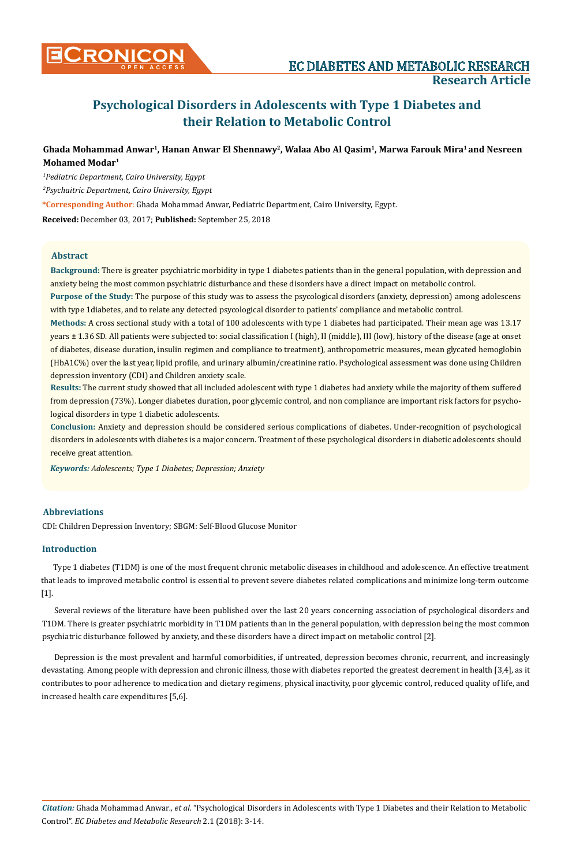# **Psychological Disorders in Adolescents with Type 1 Diabetes and their Relation to Metabolic Control**

## Ghada Mohammad Anwar<sup>1</sup>, Hanan Anwar El Shennawy<sup>2</sup>, Walaa Abo Al Qasim<sup>1</sup>, Marwa Farouk Mira<sup>1</sup> and Nesreen **Mohamed Modar1**

*1 Pediatric Department, Cairo University, Egypt*

*2 Psychaitric Department, Cairo University, Egypt*

**\*Corresponding Author**: Ghada Mohammad Anwar, Pediatric Department, Cairo University, Egypt.

**Received:** December 03, 2017; **Published:** September 25, 2018

### **Abstract**

**Background:** There is greater psychiatric morbidity in type 1 diabetes patients than in the general population, with depression and anxiety being the most common psychiatric disturbance and these disorders have a direct impact on metabolic control.

**Purpose of the Study:** The purpose of this study was to assess the psycological disorders (anxiety, depression) among adolescens with type 1diabetes, and to relate any detected psycological disorder to patients' compliance and metabolic control.

**Methods:** A cross sectional study with a total of 100 adolescents with type 1 diabetes had participated. Their mean age was 13.17 years ± 1.36 SD. All patients were subjected to: social classification I (high), II (middle), III (low), history of the disease (age at onset of diabetes, disease duration, insulin regimen and compliance to treatment), anthropometric measures, mean glycated hemoglobin (HbA1C%) over the last year, lipid profile, and urinary albumin/creatinine ratio. Psychological assessment was done using Children depression inventory (CDI) and Children anxiety scale.

**Results:** The current study showed that all included adolescent with type 1 diabetes had anxiety while the majority of them suffered from depression (73%). Longer diabetes duration, poor glycemic control, and non compliance are important risk factors for psychological disorders in type 1 diabetic adolescents.

**Conclusion:** Anxiety and depression should be considered serious complications of diabetes. Under-recognition of psychological disorders in adolescents with diabetes is a major concern. Treatment of these psychological disorders in diabetic adolescents should receive great attention.

*Keywords: Adolescents; Type 1 Diabetes; Depression; Anxiety*

## **Abbreviations**

CDI: Children Depression Inventory; SBGM: Self-Blood Glucose Monitor

## **Introduction**

Type 1 diabetes (T1DM) is one of the most frequent chronic metabolic diseases in childhood and adolescence. An effective treatment that leads to improved metabolic control is essential to prevent severe diabetes related complications and minimize long-term outcome [1].

Several reviews of the literature have been published over the last 20 years concerning association of psychological disorders and T1DM. There is greater psychiatric morbidity in T1DM patients than in the general population, with depression being the most common psychiatric disturbance followed by anxiety, and these disorders have a direct impact on metabolic control [2].

Depression is the most prevalent and harmful comorbidities, if untreated, depression becomes chronic, recurrent, and increasingly devastating. Among people with depression and chronic illness, those with diabetes reported the greatest decrement in health [3,4], as it contributes to poor adherence to medication and dietary regimens, physical inactivity, poor glycemic control, reduced quality of life, and increased health care expenditures [5,6].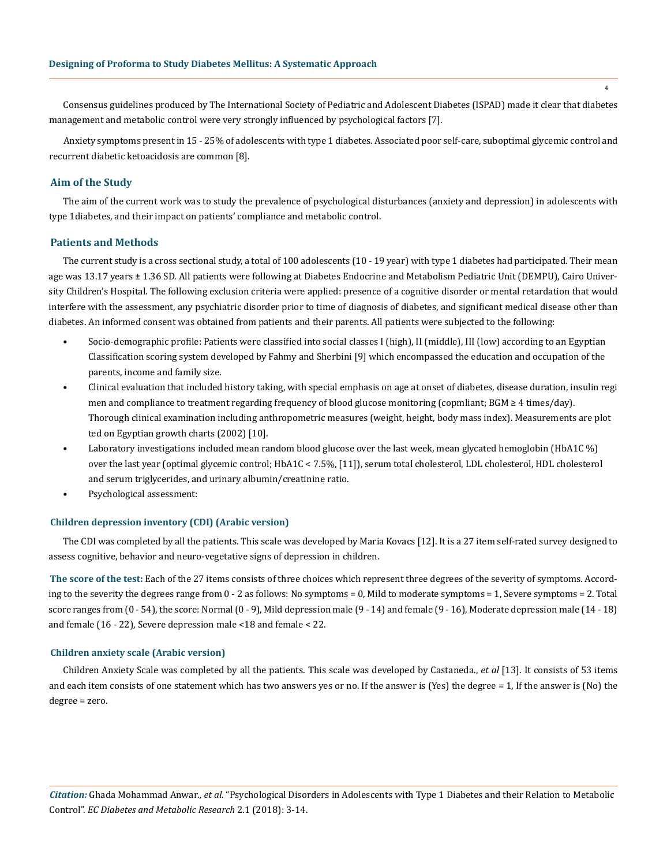Consensus guidelines produced by The International Society of Pediatric and Adolescent Diabetes (ISPAD) made it clear that diabetes management and metabolic control were very strongly influenced by psychological factors [7].

Anxiety symptoms present in 15 - 25% of adolescents with type 1 diabetes. Associated poor self-care, suboptimal glycemic control and recurrent diabetic ketoacidosis are common [8].

#### **Aim of the Study**

The aim of the current work was to study the prevalence of psychological disturbances (anxiety and depression) in adolescents with type 1diabetes, and their impact on patients' compliance and metabolic control.

#### **Patients and Methods**

The current study is a cross sectional study, a total of 100 adolescents (10 - 19 year) with type 1 diabetes had participated. Their mean age was 13.17 years ± 1.36 SD. All patients were following at Diabetes Endocrine and Metabolism Pediatric Unit (DEMPU), Cairo University Children's Hospital. The following exclusion criteria were applied: presence of a cognitive disorder or mental retardation that would interfere with the assessment, any psychiatric disorder prior to time of diagnosis of diabetes, and significant medical disease other than diabetes. An informed consent was obtained from patients and their parents. All patients were subjected to the following:

- Socio-demographic profile: Patients were classified into social classes I (high), II (middle), III (low) according to an Egyptian Classification scoring system developed by Fahmy and Sherbini [9] which encompassed the education and occupation of the parents, income and family size.
- Clinical evaluation that included history taking, with special emphasis on age at onset of diabetes, disease duration, insulin regi men and compliance to treatment regarding frequency of blood glucose monitoring (copmliant; BGM ≥ 4 times/day). Thorough clinical examination including anthropometric measures (weight, height, body mass index). Measurements are plot ted on Egyptian growth charts (2002) [10].
- Laboratory investigations included mean random blood glucose over the last week, mean glycated hemoglobin (HbA1C %) over the last year (optimal glycemic control; HbA1C < 7.5%, [11]), serum total cholesterol, LDL cholesterol, HDL cholesterol and serum triglycerides, and urinary albumin/creatinine ratio.
- Psychological assessment:

#### **Children depression inventory (CDI) (Arabic version)**

The CDI was completed by all the patients. This scale was developed by Maria Kovacs [12]. It is a 27 item self-rated survey designed to assess cognitive, behavior and neuro-vegetative signs of depression in children.

**The score of the test:** Each of the 27 items consists of three choices which represent three degrees of the severity of symptoms. According to the severity the degrees range from 0 - 2 as follows: No symptoms = 0, Mild to moderate symptoms = 1, Severe symptoms = 2. Total score ranges from (0 - 54), the score: Normal (0 - 9), Mild depression male (9 - 14) and female (9 - 16), Moderate depression male (14 - 18) and female (16 - 22), Severe depression male <18 and female < 22.

#### **Children anxiety scale (Arabic version)**

Children Anxiety Scale was completed by all the patients. This scale was developed by Castaneda., *et al* [13]. It consists of 53 items and each item consists of one statement which has two answers yes or no. If the answer is (Yes) the degree = 1, If the answer is (No) the degree = zero.

*Citation:* Ghada Mohammad Anwar*., et al.* "Psychological Disorders in Adolescents with Type 1 Diabetes and their Relation to Metabolic Control". *EC Diabetes and Metabolic Research* 2.1 (2018): 3-14.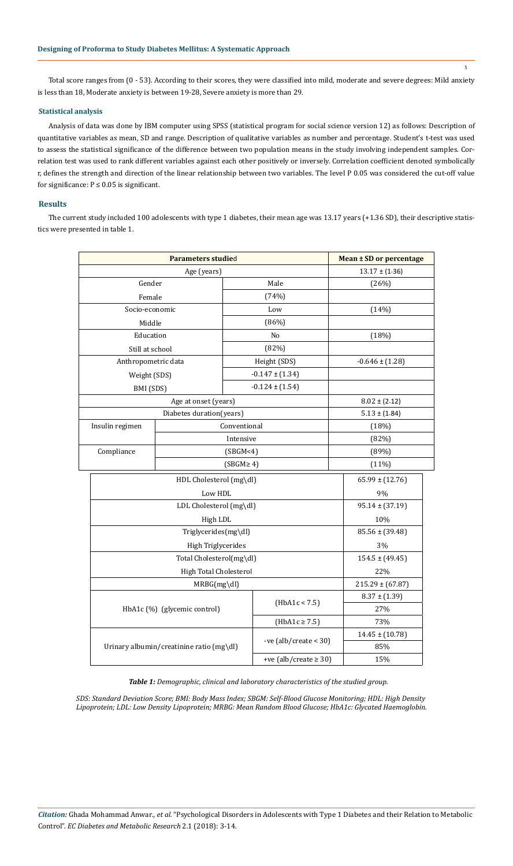Total score ranges from (0 - 53). According to their scores, they were classified into mild, moderate and severe degrees: Mild anxiety is less than 18, Moderate anxiety is between 19-28, Severe anxiety is more than 29.

#### **Statistical analysis**

Analysis of data was done by IBM computer using SPSS (statistical program for social science version 12) as follows: Description of quantitative variables as mean, SD and range. Description of qualitative variables as number and percentage. Student's t-test was used to assess the statistical significance of the difference between two population means in the study involving independent samples. Correlation test was used to rank different variables against each other positively or inversely. Correlation coefficient denoted symbolically r, defines the strength and direction of the linear relationship between two variables. The level P 0.05 was considered the cut-off value for significance:  $P \le 0.05$  is significant.

#### **Results**

The current study included 100 adolescents with type 1 diabetes, their mean age was 13.17 years (+1.36 SD), their descriptive statistics were presented in table 1.

| <b>Parameters studied</b>                |                          |                     |                           |       | Mean ± SD or percentage |  |  |
|------------------------------------------|--------------------------|---------------------|---------------------------|-------|-------------------------|--|--|
| Age (years)                              |                          |                     |                           |       | $13.17 \pm (1.36)$      |  |  |
| Gender                                   |                          | Male                |                           |       | (26%)                   |  |  |
| Female                                   |                          |                     | (74%)                     |       |                         |  |  |
| Socio-economic                           |                          |                     | Low                       |       | (14%)                   |  |  |
| Middle                                   |                          | (86%)               |                           |       |                         |  |  |
| Education                                |                          | No                  |                           |       | (18%)                   |  |  |
| Still at school                          |                          | (82%)               |                           |       |                         |  |  |
| Anthropometric data                      |                          | Height (SDS)        |                           |       | $-0.646 \pm (1.28)$     |  |  |
| Weight (SDS)                             |                          | $-0.147 \pm (1.34)$ |                           |       |                         |  |  |
| BMI (SDS)                                |                          | $-0.124 \pm (1.54)$ |                           |       |                         |  |  |
| Age at onset (years)                     |                          |                     |                           |       | $8.02 \pm (2.12)$       |  |  |
|                                          | Diabetes duration(years) |                     |                           |       | $5.13 \pm (1.84)$       |  |  |
| Insulin regimen                          |                          | Conventional        |                           |       | (18%)                   |  |  |
|                                          | Intensive                |                     |                           |       | (82%)                   |  |  |
| Compliance                               | (SBGM<4)                 |                     |                           |       | (89%)                   |  |  |
| $(SBGM \geq 4)$                          |                          |                     |                           | (11%) |                         |  |  |
| HDL Cholesterol (mg\dl)                  |                          |                     |                           |       | $65.99 \pm (12.76)$     |  |  |
| Low HDL                                  |                          |                     |                           |       | 9%                      |  |  |
| LDL Cholesterol (mg\dl)                  |                          |                     |                           |       | $95.14 \pm (37.19)$     |  |  |
| High LDL                                 |                          |                     |                           |       | 10%                     |  |  |
| Triglycerides(mg\dl)                     |                          |                     |                           |       | $85.56 \pm (39.48)$     |  |  |
| High Triglycerides                       |                          |                     |                           |       | 3%                      |  |  |
| Total Cholesterol(mg\dl)                 |                          |                     |                           |       | $154.5 \pm (49.45)$     |  |  |
| High Total Cholesterol                   |                          |                     |                           |       | 22%                     |  |  |
| $MRBG(mg\ddot{\text{dl}})$               |                          |                     |                           |       | $215.29 \pm (67.87)$    |  |  |
|                                          |                          |                     |                           |       | $8.37 \pm (1.39)$       |  |  |
| HbA1c (%) (glycemic control)             |                          | (HbA1c < 7.5)       |                           | 27%   |                         |  |  |
|                                          |                          |                     | $(HbA1c \ge 7.5)$         |       | 73%                     |  |  |
| Urinary albumin/creatinine ratio (mg\dl) |                          |                     | -ve $(alb/create < 30)$   |       | $14.45 \pm (10.78)$     |  |  |
|                                          |                          |                     |                           |       | 85%                     |  |  |
|                                          |                          |                     | +ve (alb/create $\ge$ 30) |       | 15%                     |  |  |

*Table 1: Demographic, clinical and laboratory characteristics of the studied group.*

*SDS: Standard Deviation Score; BMI: Body Mass Index; SBGM: Self-Blood Glucose Monitoring; HDL: High Density Lipoprotein; LDL: Low Density Lipoprotein; MRBG: Mean Random Blood Glucose; HbA1c: Glycated Haemoglobin.*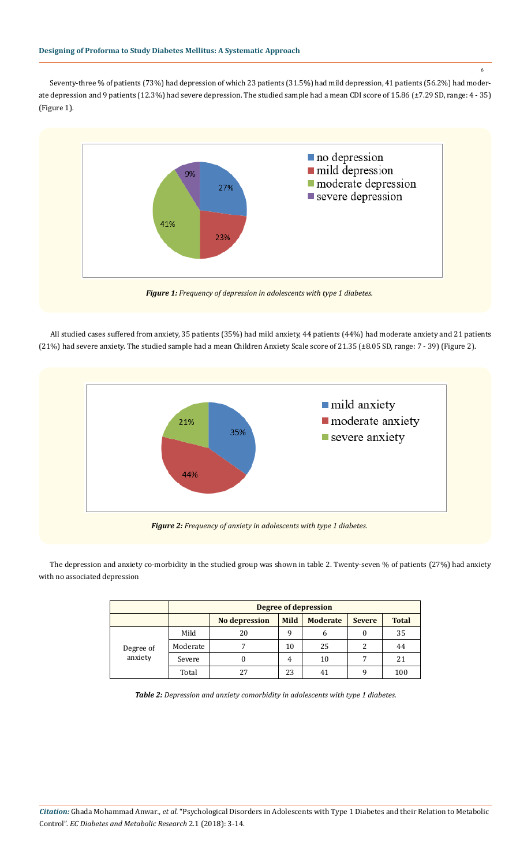Seventy-three % of patients (73%) had depression of which 23 patients (31.5%) had mild depression, 41 patients (56.2%) had moderate depression and 9 patients (12.3%) had severe depression. The studied sample had a mean CDI score of 15.86 (±7.29 SD, range: 4 - 35) (Figure 1).



All studied cases suffered from anxiety, 35 patients (35%) had mild anxiety, 44 patients (44%) had moderate anxiety and 21 patients (21%) had severe anxiety. The studied sample had a mean Children Anxiety Scale score of 21.35 (±8.05 SD, range: 7 - 39) (Figure 2).



The depression and anxiety co-morbidity in the studied group was shown in table 2. Twenty-seven % of patients (27%) had anxiety with no associated depression

|                      | <b>Degree of depression</b> |                      |             |                 |               |              |  |
|----------------------|-----------------------------|----------------------|-------------|-----------------|---------------|--------------|--|
|                      |                             | <b>No depression</b> | <b>Mild</b> | <b>Moderate</b> | <b>Severe</b> | <b>Total</b> |  |
| Degree of<br>anxiety | Mild                        | 20                   | q           | 6               |               | 35           |  |
|                      | Moderate                    |                      | 10          | 25              |               | 44           |  |
|                      | Severe                      | O                    | 4           | 10              |               | 21           |  |
|                      | Total                       | 27                   | 23          |                 |               | 100          |  |

*Table 2: Depression and anxiety comorbidity in adolescents with type 1 diabetes.*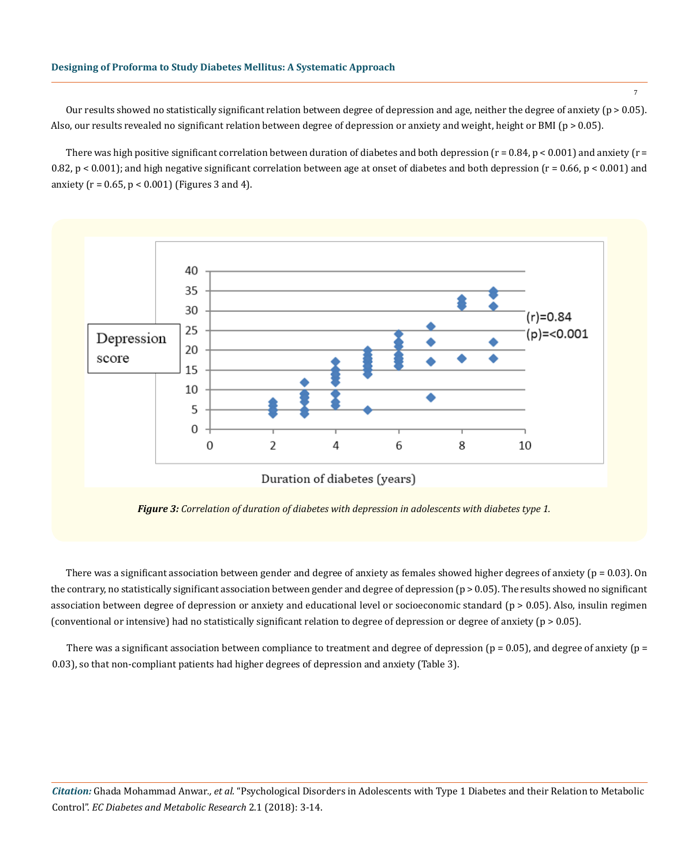Our results showed no statistically significant relation between degree of depression and age, neither the degree of anxiety (p > 0.05). Also, our results revealed no significant relation between degree of depression or anxiety and weight, height or BMI (p > 0.05).

There was high positive significant correlation between duration of diabetes and both depression ( $r = 0.84$ ,  $p < 0.001$ ) and anxiety ( $r =$ 0.82,  $p < 0.001$ ); and high negative significant correlation between age at onset of diabetes and both depression ( $r = 0.66$ ,  $p < 0.001$ ) and anxiety ( $r = 0.65$ ,  $p < 0.001$ ) (Figures 3 and 4).



*Figure 3: Correlation of duration of diabetes with depression in adolescents with diabetes type 1.*

There was a significant association between gender and degree of anxiety as females showed higher degrees of anxiety ( $p = 0.03$ ). On the contrary, no statistically significant association between gender and degree of depression ( $p > 0.05$ ). The results showed no significant association between degree of depression or anxiety and educational level or socioeconomic standard (p > 0.05). Also, insulin regimen (conventional or intensive) had no statistically significant relation to degree of depression or degree of anxiety (p > 0.05).

There was a significant association between compliance to treatment and degree of depression ( $p = 0.05$ ), and degree of anxiety ( $p =$ 0.03), so that non-compliant patients had higher degrees of depression and anxiety (Table 3).

*Citation:* Ghada Mohammad Anwar*., et al.* "Psychological Disorders in Adolescents with Type 1 Diabetes and their Relation to Metabolic Control". *EC Diabetes and Metabolic Research* 2.1 (2018): 3-14.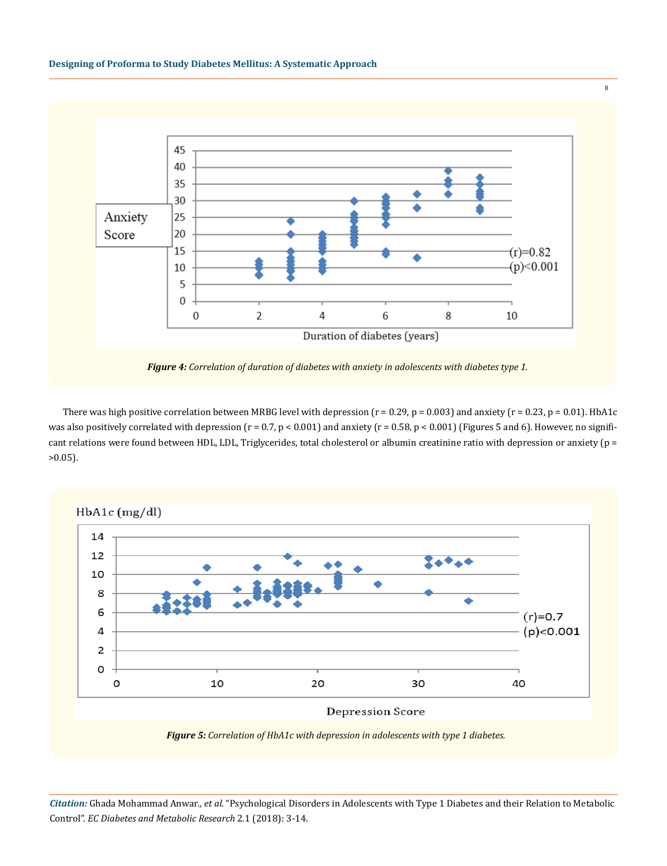



*Figure 4: Correlation of duration of diabetes with anxiety in adolescents with diabetes type 1.*

There was high positive correlation between MRBG level with depression ( $r = 0.29$ ,  $p = 0.003$ ) and anxiety ( $r = 0.23$ ,  $p = 0.01$ ). HbA1c was also positively correlated with depression ( $r = 0.7$ ,  $p < 0.001$ ) and anxiety ( $r = 0.58$ ,  $p < 0.001$ ) (Figures 5 and 6). However, no significant relations were found between HDL, LDL, Triglycerides, total cholesterol or albumin creatinine ratio with depression or anxiety (p =  $>0.05$ ).



*Citation:* Ghada Mohammad Anwar*., et al.* "Psychological Disorders in Adolescents with Type 1 Diabetes and their Relation to Metabolic Control". *EC Diabetes and Metabolic Research* 2.1 (2018): 3-14.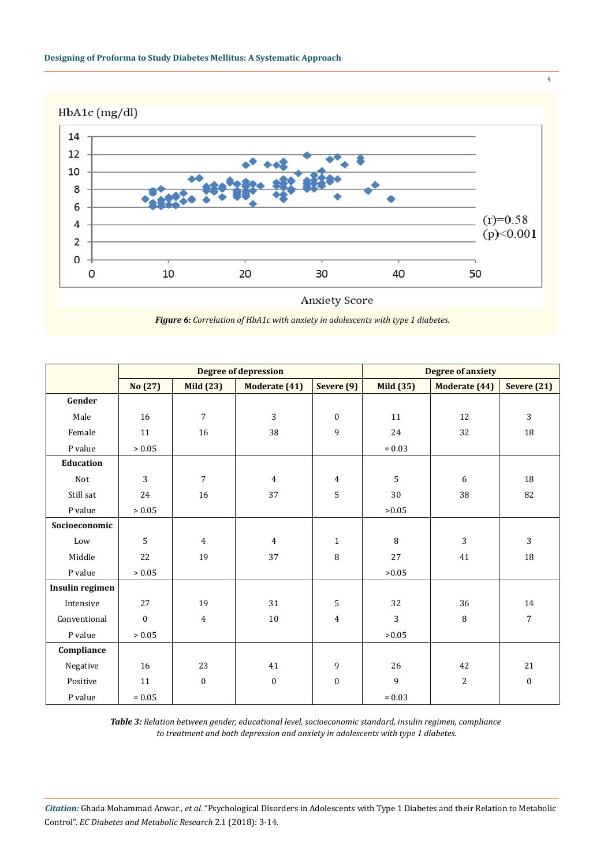

HbA1c (mg/dl)



*Figure 6: Correlation of HbA1c with anxiety in adolescents with type 1 diabetes.*

|                 | <b>Degree of depression</b> |                  |                      |                  | <b>Degree of anxiety</b> |                |                  |  |
|-----------------|-----------------------------|------------------|----------------------|------------------|--------------------------|----------------|------------------|--|
|                 | No (27)                     | <b>Mild (23)</b> | <b>Moderate (41)</b> | Severe (9)       | <b>Mild (35)</b>         | Moderate (44)  | Severe $(21)$    |  |
| Gender          |                             |                  |                      |                  |                          |                |                  |  |
| Male            | 16                          | $\overline{7}$   | 3                    | $\mathbf{0}$     | 11                       | 12             | $\mathbf{3}$     |  |
| Female          | 11                          | 16               | 38                   | 9                | 24                       | 32             | 18               |  |
| P value         | > 0.05                      |                  |                      |                  | $= 0.03$                 |                |                  |  |
| Education       |                             |                  |                      |                  |                          |                |                  |  |
| Not             | 3                           | $\overline{7}$   | $\overline{4}$       | $\overline{4}$   | 5                        | 6              | 18               |  |
| Still sat       | 24                          | 16               | 37                   | 5                | 30                       | 38             | 82               |  |
| P value         | > 0.05                      |                  |                      |                  | >0.05                    |                |                  |  |
| Socioeconomic   |                             |                  |                      |                  |                          |                |                  |  |
| Low             | 5                           | $\overline{4}$   | $\overline{4}$       | $\mathbf{1}$     | 8                        | 3              | 3                |  |
| Middle          | 22                          | 19               | 37                   | 8                | 27                       | 41             | 18               |  |
| P value         | > 0.05                      |                  |                      |                  | >0.05                    |                |                  |  |
| Insulin regimen |                             |                  |                      |                  |                          |                |                  |  |
| Intensive       | 27                          | 19               | 31                   | 5                | 32                       | 36             | 14               |  |
| Conventional    | $\boldsymbol{0}$            | $\overline{4}$   | $10\,$               | $\overline{4}$   | 3                        | 8              | $\sqrt{ }$       |  |
| P value         | > 0.05                      |                  |                      |                  | >0.05                    |                |                  |  |
| Compliance      |                             |                  |                      |                  |                          |                |                  |  |
| Negative        | 16                          | 23               | 41                   | $\overline{9}$   | 26                       | 42             | 21               |  |
| Positive        | 11                          | $\boldsymbol{0}$ | $\boldsymbol{0}$     | $\boldsymbol{0}$ | 9                        | $\overline{c}$ | $\boldsymbol{0}$ |  |
| P value         | $= 0.05$                    |                  |                      |                  | $= 0.03$                 |                |                  |  |

*Table 3: Relation between gender, educational level, socioeconomic standard, insulin regimen, compliance to treatment and both depression and anxiety in adolescents with type 1 diabetes.*

*Citation:* Ghada Mohammad Anwar*., et al.* "Psychological Disorders in Adolescents with Type 1 Diabetes and their Relation to Metabolic Control". *EC Diabetes and Metabolic Research* 2.1 (2018): 3-14.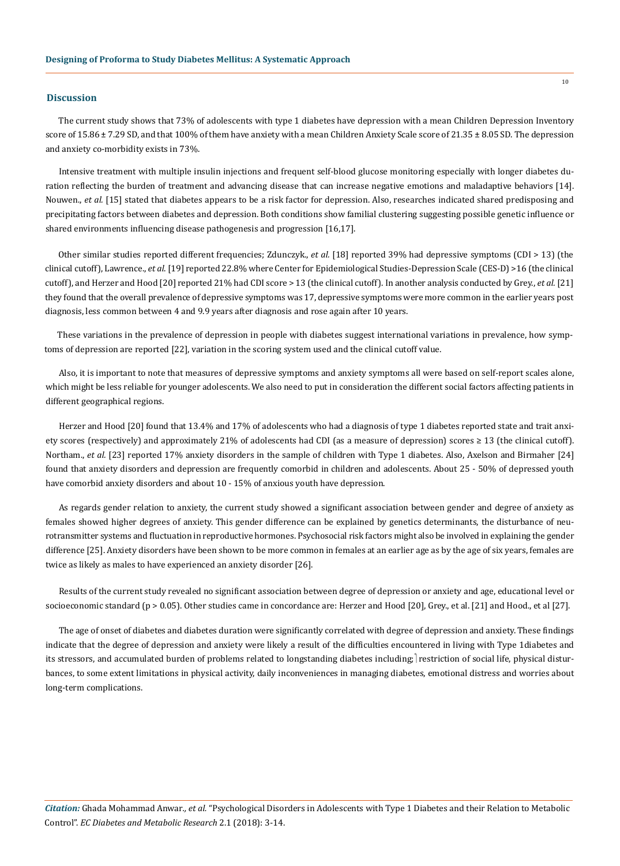#### **Discussion**

The current study shows that 73% of adolescents with type 1 diabetes have depression with a mean Children Depression Inventory score of  $15.86 \pm 7.29$  SD, and that  $100\%$  of them have anxiety with a mean Children Anxiety Scale score of  $21.35 \pm 8.05$  SD. The depression and anxiety co-morbidity exists in 73%.

Intensive treatment with multiple insulin injections and frequent self-blood glucose monitoring especially with longer diabetes duration reflecting the burden of treatment and advancing disease that can increase negative emotions and maladaptive behaviors [14]. Nouwen., *et al.* [15] stated that diabetes appears to be a risk factor for depression. Also, researches indicated shared predisposing and precipitating factors between diabetes and depression. Both conditions show familial clustering suggesting possible genetic influence or shared environments influencing disease pathogenesis and progression [16,17].

Other similar studies reported different frequencies; Zdunczyk., *et al.* [18] reported 39% had depressive symptoms (CDI > 13) (the clinical cutoff), Lawrence., *et al*. [19] reported 22.8% where Center for Epidemiological Studies-Depression Scale (CES-D) >16 (the clinical cutoff), and Herzer and Hood [20] reported 21% had CDI score > 13 (the clinical cutoff). In another analysis conducted by Grey., *et al.* [21] they found that the overall prevalence of depressive symptoms was 17, depressive symptoms were more common in the earlier years post diagnosis, less common between 4 and 9.9 years after diagnosis and rose again after 10 years.

These variations in the prevalence of depression in people with diabetes suggest international variations in prevalence, how symptoms of depression are reported [22], variation in the scoring system used and the clinical cutoff value.

Also, it is important to note that measures of depressive symptoms and anxiety symptoms all were based on self-report scales alone, which might be less reliable for younger adolescents. We also need to put in consideration the different social factors affecting patients in different geographical regions.

Herzer and Hood [20] found that 13.4% and 17% of adolescents who had a diagnosis of type 1 diabetes reported state and trait anxiety scores (respectively) and approximately 21% of adolescents had CDI (as a measure of depression) scores ≥ 13 (the clinical cutoff). Northam., et al. [23] reported 17% anxiety disorders in the sample of children with Type 1 diabetes. Also, Axelson and Birmaher [24] found that anxiety disorders and depression are frequently comorbid in children and adolescents. About 25 - 50% of depressed youth have comorbid anxiety disorders and about 10 - 15% of anxious youth have depression.

As regards gender relation to anxiety, the current study showed a significant association between gender and degree of anxiety as females showed higher degrees of anxiety. This gender difference can be explained by genetics determinants, the disturbance of neurotransmitter systems and fluctuation in reproductive hormones. Psychosocial risk factors might also be involved in explaining the gender difference [25]. Anxiety disorders have been shown to be more common in females at an earlier age as by the age of six years, females are twice as likely as males to have experienced an anxiety disorder [26].

Results of the current study revealed no significant association between degree of depression or anxiety and age, educational level or socioeconomic standard (p > 0.05). Other studies came in concordance are: Herzer and Hood [20], Grey., et al. [21] and Hood., et al [27].

The age of onset of diabetes and diabetes duration were significantly correlated with degree of depression and anxiety. These findings indicate that the degree of depression and anxiety were likely a result of the difficulties encountered in living with Type 1diabetes and its stressors, and accumulated burden of problems related to longstanding diabetes including; restriction of social life, physical disturbances, to some extent limitations in physical activity, daily inconveniences in managing diabetes, emotional distress and worries about long-term complications.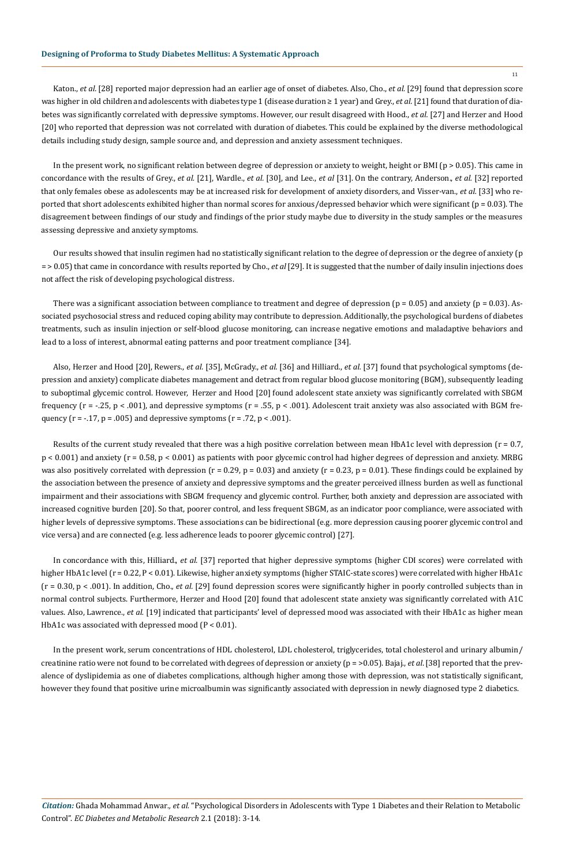Katon., *et al.* [28] reported major depression had an earlier age of onset of diabetes. Also, Cho., *et al.* [29] found that depression score was higher in old children and adolescents with diabetes type 1 (disease duration ≥ 1 year) and Grey., *et al.* [21] found that duration of diabetes was significantly correlated with depressive symptoms. However, our result disagreed with Hood., *et al.* [27] and Herzer and Hood [20] who reported that depression was not correlated with duration of diabetes. This could be explained by the diverse methodological details including study design, sample source and, and depression and anxiety assessment techniques.

In the present work, no significant relation between degree of depression or anxiety to weight, height or BMI (p > 0.05). This came in concordance with the results of Grey., *et al.* [21], Wardle., *et al.* [30], and Lee., *et al* [31]. On the contrary, Anderson., *et al.* [32] reported that only females obese as adolescents may be at increased risk for development of anxiety disorders, and Visser-van., *et al.* [33] who reported that short adolescents exhibited higher than normal scores for anxious/depressed behavior which were significant (p = 0.03). The disagreement between findings of our study and findings of the prior study maybe due to diversity in the study samples or the measures assessing depressive and anxiety symptoms.

Our results showed that insulin regimen had no statistically significant relation to the degree of depression or the degree of anxiety (p = > 0.05) that came in concordance with results reported by Cho., *et al* [29]. It is suggested that the number of daily insulin injections does not affect the risk of developing psychological distress.

There was a significant association between compliance to treatment and degree of depression ( $p = 0.05$ ) and anxiety ( $p = 0.03$ ). Associated psychosocial stress and reduced coping ability may contribute to depression. Additionally, the psychological burdens of diabetes treatments, such as insulin injection or self-blood glucose monitoring, can increase negative emotions and maladaptive behaviors and lead to a loss of interest, abnormal eating patterns and poor treatment compliance [34].

Also, Herzer and Hood [20], Rewers., *et al.* [35], McGrady., *et al.* [36] and Hilliard., *et al.* [37] found that psychological symptoms (depression and anxiety) complicate diabetes management and detract from regular blood glucose monitoring (BGM), subsequently leading to suboptimal glycemic control. However, Herzer and Hood [20] found adolescent state anxiety was significantly correlated with SBGM frequency ( $r = -0.25$ ,  $p < .001$ ), and depressive symptoms ( $r = .55$ ,  $p < .001$ ). Adolescent trait anxiety was also associated with BGM frequency ( $r = -17$ ,  $p = 0.005$ ) and depressive symptoms ( $r = 0.72$ ,  $p < 0.001$ ).

Results of the current study revealed that there was a high positive correlation between mean HbA1c level with depression ( $r = 0.7$ , p < 0.001) and anxiety (r = 0.58, p < 0.001) as patients with poor glycemic control had higher degrees of depression and anxiety. MRBG was also positively correlated with depression  $(r = 0.29, p = 0.03)$  and anxiety  $(r = 0.23, p = 0.01)$ . These findings could be explained by the association between the presence of anxiety and depressive symptoms and the greater perceived illness burden as well as functional impairment and their associations with SBGM frequency and glycemic control. Further, both anxiety and depression are associated with increased cognitive burden [20]. So that, poorer control, and less frequent SBGM, as an indicator poor compliance, were associated with higher levels of depressive symptoms. These associations can be bidirectional (e.g. more depression causing poorer glycemic control and vice versa) and are connected (e.g. less adherence leads to poorer glycemic control) [27].

In concordance with this, Hilliard., *et al.* [37] reported that higher depressive symptoms (higher CDI scores) were correlated with higher HbA1c level (r = 0.22, P < 0.01). Likewise, higher anxiety symptoms (higher STAIC-state scores) were correlated with higher HbA1c (r = 0.30, p < .001). In addition, Cho.*, et al.* [29] found depression scores were significantly higher in poorly controlled subjects than in normal control subjects. Furthermore, Herzer and Hood [20] found that adolescent state anxiety was significantly correlated with A1C values. Also, Lawrence., *et al.* [19] indicated that participants' level of depressed mood was associated with their HbA1c as higher mean HbA1c was associated with depressed mood (P < 0.01).

In the present work, serum concentrations of HDL cholesterol, LDL cholesterol, triglycerides, total cholesterol and urinary albumin/ creatinine ratio were not found to be correlated with degrees of depression or anxiety (p = >0.05). Bajaj., *et al*. [38] reported that the prevalence of dyslipidemia as one of diabetes complications, although higher among those with depression, was not statistically significant, however they found that positive urine microalbumin was significantly associated with depression in newly diagnosed type 2 diabetics.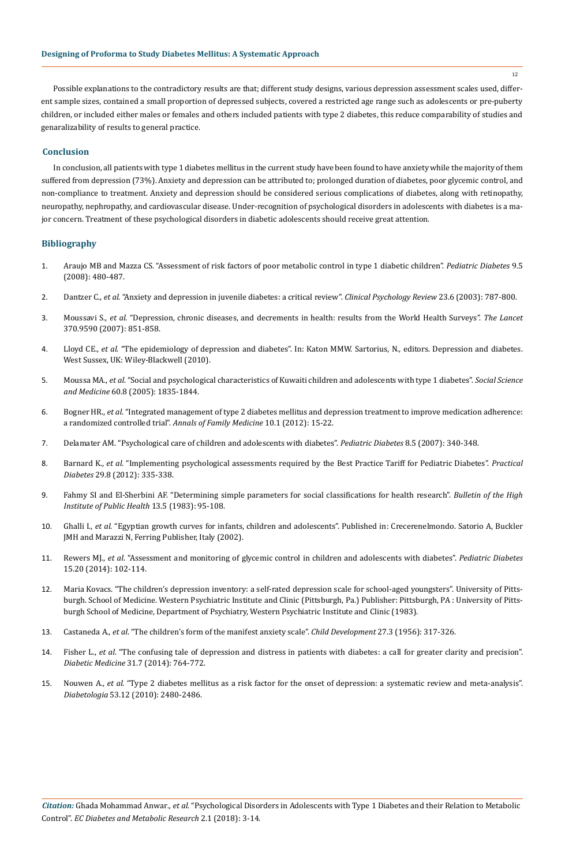Possible explanations to the contradictory results are that; different study designs, various depression assessment scales used, different sample sizes, contained a small proportion of depressed subjects, covered a restricted age range such as adolescents or pre-puberty children, or included either males or females and others included patients with type 2 diabetes, this reduce comparability of studies and genaralizability of results to general practice.

#### **Conclusion**

In conclusion, all patients with type 1 diabetes mellitus in the current study have been found to have anxiety while the majority of them suffered from depression (73%). Anxiety and depression can be attributed to; prolonged duration of diabetes, poor glycemic control, and non-compliance to treatment. Anxiety and depression should be considered serious complications of diabetes, along with retinopathy, neuropathy, nephropathy, and cardiovascular disease. Under-recognition of psychological disorders in adolescents with diabetes is a major concern. Treatment of these psychological disorders in diabetic adolescents should receive great attention.

## **Bibliography**

- 1. [Araujo MB and Mazza CS. "Assessment of risk factors of poor metabolic control in type 1 diabetic children".](https://www.ncbi.nlm.nih.gov/pubmed/18761645) *Pediatric Diabetes* 9.5 [\(2008\): 480-487.](https://www.ncbi.nlm.nih.gov/pubmed/18761645)
- 2. Dantzer C., *et al*[. "Anxiety and depression in juvenile diabetes: a critical review".](https://www.ncbi.nlm.nih.gov/pubmed/14529698) *Clinical Psychology Review* 23.6 (2003): 787-800.
- 3. Moussavi S., *et al*[. "Depression, chronic diseases, and decrements in health: results from the World Health Surveys".](https://www.ncbi.nlm.nih.gov/pubmed/17826170) *The Lancet* [370.9590 \(2007\): 851-858.](https://www.ncbi.nlm.nih.gov/pubmed/17826170)
- 4. Lloyd CE., *et al*. "The epidemiology of depression and diabetes". In: Katon MMW. Sartorius, N., editors. Depression and diabetes. West Sussex, UK: Wiley-Blackwell (2010).
- 5. Moussa MA., *et al*[. "Social and psychological characteristics of Kuwaiti children and adolescents with type 1 diabetes".](https://www.ncbi.nlm.nih.gov/pubmed/15686813) *Social Science and Medicine* [60.8 \(2005\): 1835-1844.](https://www.ncbi.nlm.nih.gov/pubmed/15686813)
- 6. Bogner HR., *et al*[. "Integrated management of type 2 diabetes mellitus and depression treatment to improve medication adherence:](https://www.ncbi.nlm.nih.gov/pubmed/22230826) a randomized controlled trial". *[Annals of Family Medicine](https://www.ncbi.nlm.nih.gov/pubmed/22230826)* 10.1 (2012): 15-22.
- 7. [Delamater AM. "Psychological care of children and adolescents with diabetes".](https://www.ncbi.nlm.nih.gov/pubmed/17850476) *Pediatric Diabetes* 8.5 (2007): 340-348.
- 8. Barnard K., *et al*[. "Implementing psychological assessments required by the Best Practice Tariff for Pediatric Diabetes".](https://onlinelibrary.wiley.com/doi/abs/10.1002/pdi.1718) *Practical Diabetes* [29.8 \(2012\): 335-338.](https://onlinelibrary.wiley.com/doi/abs/10.1002/pdi.1718)
- 9. Fahmy SI and El-Sherbini AF. "Determining simple parameters for social classifications for health research". *Bulletin of the High Institute of Public Health* 13.5 (1983): 95-108.
- 10. Ghalli I., *et al*. "Egyptian growth curves for infants, children and adolescents". Published in: Crecerenelmondo. Satorio A, Buckler JMH and Marazzi N, Ferring Publisher, Italy (2002).
- 11. Rewers MJ., *et al*[. "Assessment and monitoring of glycemic control in children and adolescents with diabetes".](https://www.ncbi.nlm.nih.gov/pubmed/25182311) *Pediatric Diabetes* [15.20 \(2014\): 102-114.](https://www.ncbi.nlm.nih.gov/pubmed/25182311)
- 12. Maria Kovacs. "The children's depression inventory: a self-rated depression scale for school-aged youngsters". University of Pittsburgh. School of Medicine. Western Psychiatric Institute and Clinic (Pittsburgh, Pa.) Publisher: Pittsburgh, PA : University of Pittsburgh School of Medicine, Department of Psychiatry, Western Psychiatric Institute and Clinic (1983).
- 13. Castaneda A., *et al*[. "The children's form of the manifest anxiety scale".](https://www.ncbi.nlm.nih.gov/pubmed/13356330) *Child Development* 27.3 (1956): 317-326.
- 14. Fisher L., *et al*[. "The confusing tale of depression and distress in patients with diabetes: a call for greater clarity and precision".](https://www.ncbi.nlm.nih.gov/pubmed/24606397) *Diabetic Medicine* [31.7 \(2014\): 764-772.](https://www.ncbi.nlm.nih.gov/pubmed/24606397)
- 15. Nouwen A., *et al*[. "Type 2 diabetes mellitus as a risk factor for the onset of depression: a systematic review and meta-analysis".](https://www.ncbi.nlm.nih.gov/pubmed/20711716) *Diabetologia* [53.12 \(2010\): 2480-2486.](https://www.ncbi.nlm.nih.gov/pubmed/20711716)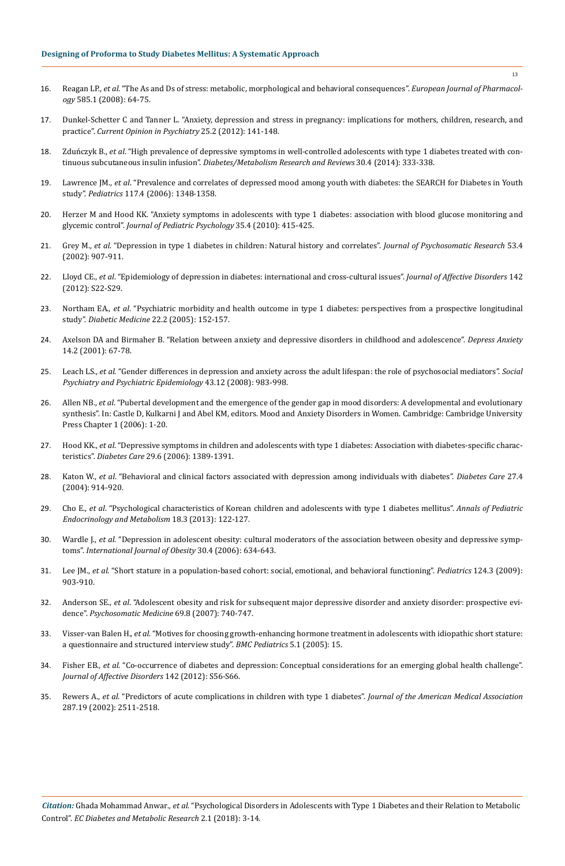- 16. Reagan LP., *et al*[. "The As and Ds of stress: metabolic, morphological and behavioral consequences".](https://www.ncbi.nlm.nih.gov/pubmed/18387603) *European Journal of Pharmacology* [585.1 \(2008\): 64-75.](https://www.ncbi.nlm.nih.gov/pubmed/18387603)
- 17. [Dunkel-Schetter C and Tanner L. "Anxiety, depression and stress in pregnancy: implications for mothers, children, research, and](https://www.ncbi.nlm.nih.gov/pubmed/22262028)  practice". *[Current Opinion in Psychiatry](https://www.ncbi.nlm.nih.gov/pubmed/22262028)* 25.2 (2012): 141-148.
- 18. Zduńczyk B., *et al*[. "High prevalence of depressive symptoms in well-controlled adolescents with type 1 diabetes treated with con](https://www.ncbi.nlm.nih.gov/pubmed/24323887)tinuous subcutaneous insulin infusion". *[Diabetes/Metabolism Research and Reviews](https://www.ncbi.nlm.nih.gov/pubmed/24323887)* 30.4 (2014): 333-338.
- 19. Lawrence JM., *et al*[. "Prevalence and correlates of depressed mood among youth with diabetes: the SEARCH for Diabetes in Youth](https://www.ncbi.nlm.nih.gov/pubmed/16585333) study". *Pediatrics* [117.4 \(2006\): 1348-1358.](https://www.ncbi.nlm.nih.gov/pubmed/16585333)
- 20. [Herzer M and Hood KK. "Anxiety symptoms in adolescents with type 1 diabetes: association with blood glucose monitoring and](https://www.ncbi.nlm.nih.gov/pubmed/19684117)  glycemic control". *[Journal of Pediatric Psychology](https://www.ncbi.nlm.nih.gov/pubmed/19684117)* 35.4 (2010): 415-425.
- 21. Grey M., *et al*[. "Depression in type 1 diabetes in children: Natural history and correlates".](https://www.ncbi.nlm.nih.gov/pubmed/12377302) *Journal of Psychosomatic Research* 53.4 [\(2002\): 907-911.](https://www.ncbi.nlm.nih.gov/pubmed/12377302)
- 22. Lloyd CE., *et al*[. "Epidemiology of depression in diabetes: international and cross-cultural issues".](https://www.ncbi.nlm.nih.gov/pubmed/23062853) *Journal of Affective Disorders* 142 [\(2012\): S22-S29.](https://www.ncbi.nlm.nih.gov/pubmed/23062853)
- 23. Northam EA., *et al*[. "Psychiatric morbidity and health outcome in type 1 diabetes: perspectives from a prospective longitudinal](https://www.ncbi.nlm.nih.gov/pubmed/15660731)  study". *[Diabetic Medicine](https://www.ncbi.nlm.nih.gov/pubmed/15660731)* 22.2 (2005): 152-157.
- 24. [Axelson DA and Birmaher B. "Relation between anxiety and depressive disorders in childhood and adolescence".](https://www.ncbi.nlm.nih.gov/pubmed/11668659) *Depress Anxiety* [14.2 \(2001\): 67-78.](https://www.ncbi.nlm.nih.gov/pubmed/11668659)
- 25. Leach LS., *et al*[. "Gender differences in depression and anxiety across the adult lifespan: the role of psychosocial mediators".](https://www.ncbi.nlm.nih.gov/pubmed/18575787) *Social [Psychiatry and Psychiatric Epidemiology](https://www.ncbi.nlm.nih.gov/pubmed/18575787)* 43.12 (2008): 983-998.
- 26. Allen NB., *et al*. "Pubertal development and the emergence of the gender gap in mood disorders: A developmental and evolutionary synthesis". In: Castle D, Kulkarni J and Abel KM, editors. Mood and Anxiety Disorders in Women. Cambridge: Cambridge University Press Chapter 1 (2006): 1-20.
- 27. Hood KK., *et al*[. "Depressive symptoms in children and adolescents with type 1 diabetes: Association with diabetes-specific charac](https://www.ncbi.nlm.nih.gov/pubmed/16732028)teristics". *Diabetes Care* [29.6 \(2006\): 1389-1391.](https://www.ncbi.nlm.nih.gov/pubmed/16732028)
- 28. Katon W., *et al*[. "Behavioral and clinical factors associated with depression among individuals with diabetes".](https://www.ncbi.nlm.nih.gov/pubmed/15047648) *Diabetes Care* 27.4 [\(2004\): 914-920.](https://www.ncbi.nlm.nih.gov/pubmed/15047648)
- 29. Cho E., *et al*[. "Psychological characteristics of Korean children and adolescents with type 1 diabetes mellitus".](https://www.ncbi.nlm.nih.gov/pmc/articles/PMC4027070/) *Annals of Pediatric [Endocrinology and Metabolism](https://www.ncbi.nlm.nih.gov/pmc/articles/PMC4027070/)* 18.3 (2013): 122-127.
- 30. Wardle J., *et al*[. "Depression in adolescent obesity: cultural moderators of the association between obesity and depressive symp](https://www.ncbi.nlm.nih.gov/pubmed/16570093)toms". *[International Journal of Obesity](https://www.ncbi.nlm.nih.gov/pubmed/16570093)* 30.4 (2006): 634-643.
- 31. Lee JM., *et al*[. "Short stature in a population-based cohort: social, emotional, and behavioral functioning".](https://www.ncbi.nlm.nih.gov/pubmed/19706592) *Pediatrics* 124.3 (2009): [903-910.](https://www.ncbi.nlm.nih.gov/pubmed/19706592)
- 32. Anderson SE., *et al*[. "Adolescent obesity and risk for subsequent major depressive disorder and anxiety disorder: prospective evi](https://www.ncbi.nlm.nih.gov/pubmed/17942847)dence". *[Psychosomatic Medicine](https://www.ncbi.nlm.nih.gov/pubmed/17942847)* 69.8 (2007): 740-747.
- 33. Visser-van Balen H., *et al*[. "Motives for choosing growth-enhancing hormone treatment in adolescents with idiopathic short stature:](https://www.ncbi.nlm.nih.gov/pubmed/15943869) [a questionnaire and structured interview study".](https://www.ncbi.nlm.nih.gov/pubmed/15943869) *BMC Pediatrics* 5.1 (2005): 15.
- 34. Fisher EB., *et al*[. "Co-occurrence of diabetes and depression: Conceptual considerations for an emerging global health challenge".](https://www.ncbi.nlm.nih.gov/pubmed/23062858)  *[Journal of Affective Disorders](https://www.ncbi.nlm.nih.gov/pubmed/23062858)* 142 (2012): S56-S66.
- 35. Rewers A., *et al*[. "Predictors of acute complications in children with type 1 diabetes".](https://www.ncbi.nlm.nih.gov/pubmed/12020331) *Journal of the American Medical Association* [287.19 \(2002\): 2511-2518.](https://www.ncbi.nlm.nih.gov/pubmed/12020331)